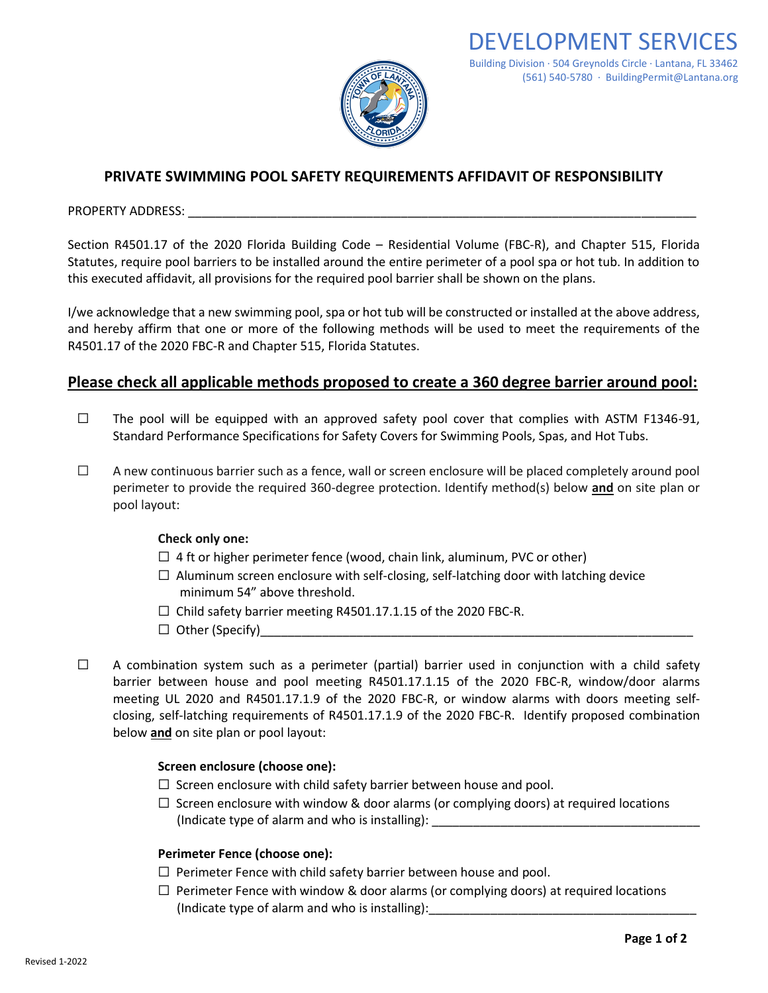

# **PRIVATE SWIMMING POOL SAFETY REQUIREMENTS AFFIDAVIT OF RESPONSIBILITY**

PROPERTY ADDRESS:

Section R4501.17 of the 2020 Florida Building Code – Residential Volume (FBC-R), and Chapter 515, Florida Statutes, require pool barriers to be installed around the entire perimeter of a pool spa or hot tub. In addition to this executed affidavit, all provisions for the required pool barrier shall be shown on the plans.

I/we acknowledge that a new swimming pool, spa or hot tub will be constructed or installed at the above address, and hereby affirm that one or more of the following methods will be used to meet the requirements of the R4501.17 of the 2020 FBC-R and Chapter 515, Florida Statutes.

# **Please check all applicable methods proposed to create a 360 degree barrier around pool:**

- $\Box$  The pool will be equipped with an approved safety pool cover that complies with ASTM F1346-91, Standard Performance Specifications for Safety Covers for Swimming Pools, Spas, and Hot Tubs.
- $\Box$  A new continuous barrier such as a fence, wall or screen enclosure will be placed completely around pool perimeter to provide the required 360-degree protection. Identify method(s) below **and** on site plan or pool layout:

## **Check only one:**

- $\Box$  4 ft or higher perimeter fence (wood, chain link, aluminum, PVC or other)
- $\Box$  Aluminum screen enclosure with self-closing, self-latching door with latching device minimum 54" above threshold.
- $\Box$  Child safety barrier meeting R4501.17.1.15 of the 2020 FBC-R.
- $\Box$  Other (Specify)
- $\Box$  A combination system such as a perimeter (partial) barrier used in conjunction with a child safety barrier between house and pool meeting R4501.17.1.15 of the 2020 FBC-R, window/door alarms meeting UL 2020 and R4501.17.1.9 of the 2020 FBC-R, or window alarms with doors meeting selfclosing, self-latching requirements of R4501.17.1.9 of the 2020 FBC-R. Identify proposed combination below **and** on site plan or pool layout:

## **Screen enclosure (choose one):**

- $\Box$  Screen enclosure with child safety barrier between house and pool.
- $\Box$  Screen enclosure with window & door alarms (or complying doors) at required locations (Indicate type of alarm and who is installing):

## **Perimeter Fence (choose one):**

- $\Box$  Perimeter Fence with child safety barrier between house and pool.
- $\Box$  Perimeter Fence with window & door alarms (or complying doors) at required locations (Indicate type of alarm and who is installing):